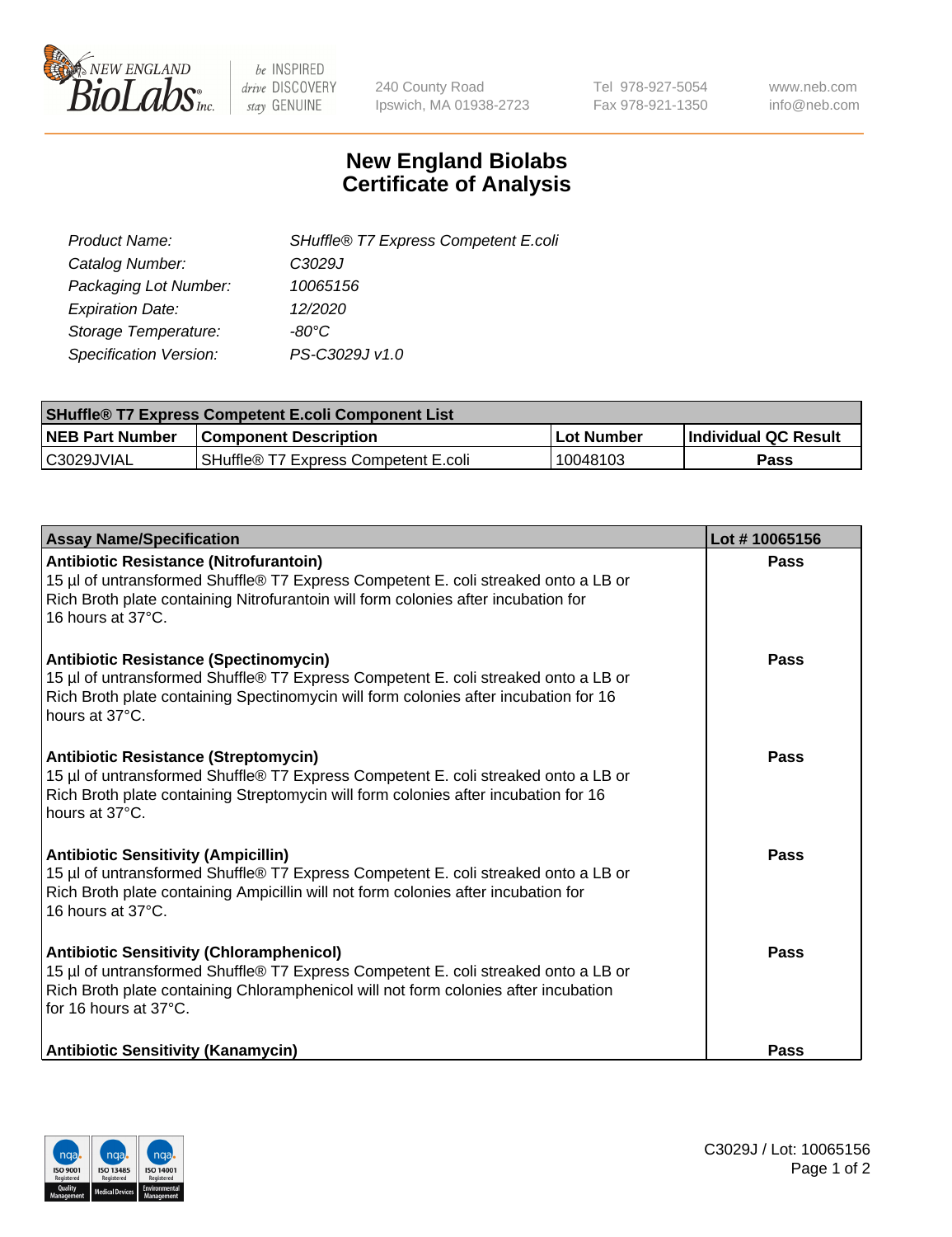

 $be$  INSPIRED drive DISCOVERY stay GENUINE

240 County Road Ipswich, MA 01938-2723 Tel 978-927-5054 Fax 978-921-1350 www.neb.com info@neb.com

## **New England Biolabs Certificate of Analysis**

| SHuffle® T7 Express Competent E.coli |
|--------------------------------------|
| C3029J                               |
| 10065156                             |
| 12/2020                              |
| -80°C.                               |
| PS-C3029J v1.0                       |
|                                      |

| <b>SHuffle<sup>®</sup> T7 Express Competent E.coli Component List</b> |                                      |            |                             |  |
|-----------------------------------------------------------------------|--------------------------------------|------------|-----------------------------|--|
| <b>NEB Part Number</b>                                                | <b>Component Description</b>         | Lot Number | <b>Individual QC Result</b> |  |
| C3029JVIAL                                                            | SHuffle® T7 Express Competent E.coli | 10048103   | Pass                        |  |

| <b>Assay Name/Specification</b>                                                                                                                                                                                                                       | Lot #10065156 |
|-------------------------------------------------------------------------------------------------------------------------------------------------------------------------------------------------------------------------------------------------------|---------------|
| Antibiotic Resistance (Nitrofurantoin)<br>15 µl of untransformed Shuffle® T7 Express Competent E. coli streaked onto a LB or<br>Rich Broth plate containing Nitrofurantoin will form colonies after incubation for<br>16 hours at 37°C.               | Pass          |
| Antibiotic Resistance (Spectinomycin)<br>15 µl of untransformed Shuffle® T7 Express Competent E. coli streaked onto a LB or<br>Rich Broth plate containing Spectinomycin will form colonies after incubation for 16<br>hours at 37°C.                 | Pass          |
| Antibiotic Resistance (Streptomycin)<br>15 µl of untransformed Shuffle® T7 Express Competent E. coli streaked onto a LB or<br>Rich Broth plate containing Streptomycin will form colonies after incubation for 16<br>hours at 37°C.                   | <b>Pass</b>   |
| <b>Antibiotic Sensitivity (Ampicillin)</b><br>15 µl of untransformed Shuffle® T7 Express Competent E. coli streaked onto a LB or<br>Rich Broth plate containing Ampicillin will not form colonies after incubation for<br>16 hours at 37°C.           | Pass          |
| <b>Antibiotic Sensitivity (Chloramphenicol)</b><br>15 µl of untransformed Shuffle® T7 Express Competent E. coli streaked onto a LB or<br>Rich Broth plate containing Chloramphenicol will not form colonies after incubation<br>for 16 hours at 37°C. | <b>Pass</b>   |
| <b>Antibiotic Sensitivity (Kanamycin)</b>                                                                                                                                                                                                             | Pass          |